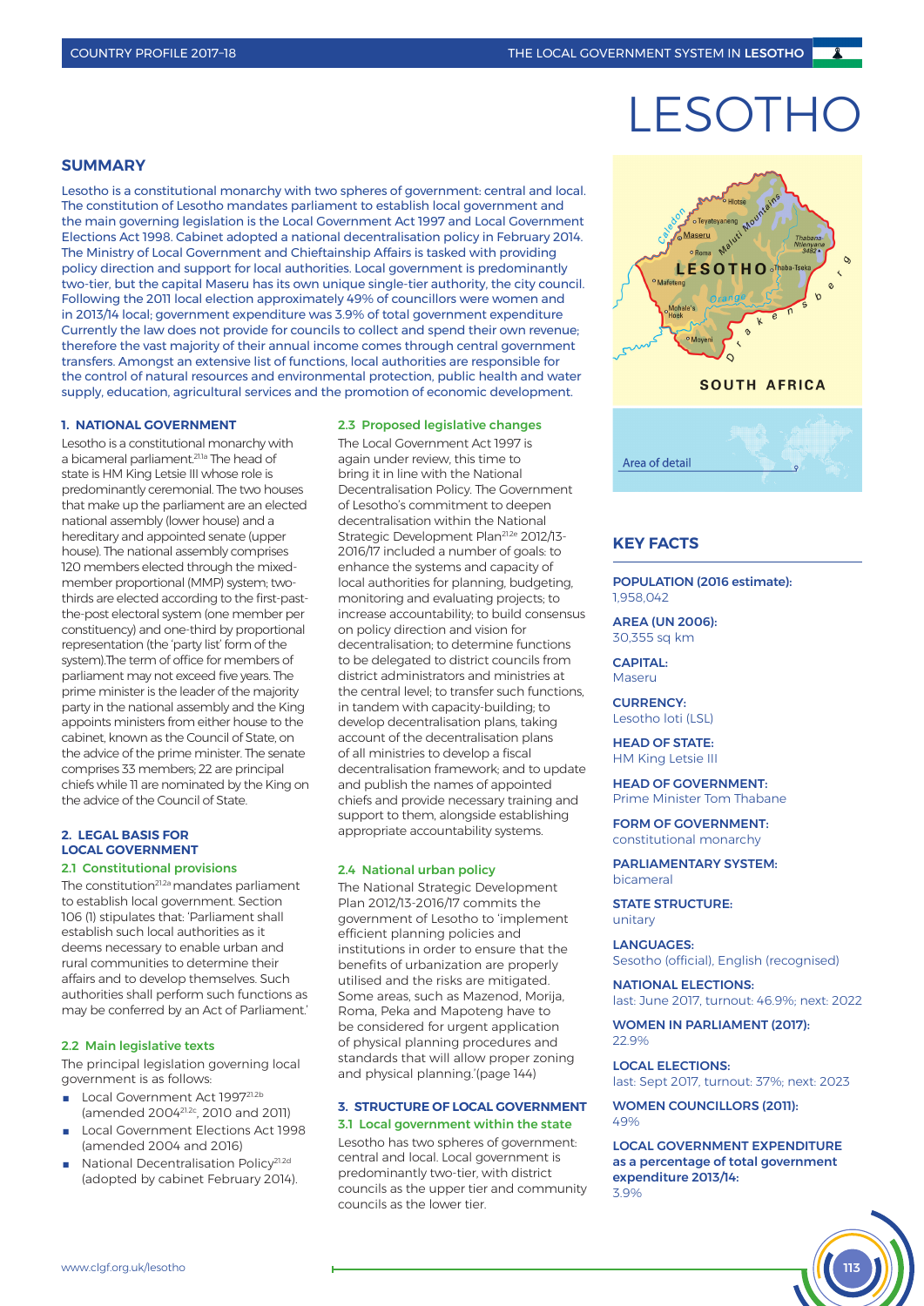# **LESOTH**

# **SUMMARY**

Lesotho is a constitutional monarchy with two spheres of government: central and local. The constitution of Lesotho mandates parliament to establish local government and the main governing legislation is the Local Government Act 1997 and Local Government Elections Act 1998. Cabinet adopted a national decentralisation policy in February 2014. The Ministry of Local Government and Chieftainship Affairs is tasked with providing policy direction and support for local authorities. Local government is predominantly two-tier, but the capital Maseru has its own unique single-tier authority, the city council. Following the 2011 local election approximately 49% of councillors were women and in 2013/14 local; government expenditure was 3.9% of total government expenditure Currently the law does not provide for councils to collect and spend their own revenue; therefore the vast majority of their annual income comes through central government transfers. Amongst an extensive list of functions, local authorities are responsible for the control of natural resources and environmental protection, public health and water supply, education, agricultural services and the promotion of economic development.

#### **1. NATIONAL GOVERNMENT**

Lesotho is a constitutional monarchy with a bicameral parliament.21.1a The head of state is HM King Letsie III whose role is predominantly ceremonial. The two houses that make up the parliament are an elected national assembly (lower house) and a hereditary and appointed senate (upper house). The national assembly comprises 120 members elected through the mixedmember proportional (MMP) system; twothirds are elected according to the first-pastthe-post electoral system (one member per constituency) and one-third by proportional representation (the 'party list' form of the system).The term of office for members of parliament may not exceed five years. The prime minister is the leader of the majority party in the national assembly and the King appoints ministers from either house to the cabinet, known as the Council of State, on the advice of the prime minister. The senate comprises 33 members; 22 are principal chiefs while 11 are nominated by the King on the advice of the Council of State.

## **2. LEGAL BASIS FOR LOCAL GOVERNMENT** 2.1 Constitutional provisions

The constitution<sup>21.2a</sup> mandates parliament to establish local government. Section 106 (1) stipulates that: 'Parliament shall establish such local authorities as it deems necessary to enable urban and rural communities to determine their affairs and to develop themselves. Such authorities shall perform such functions as may be conferred by an Act of Parliament.'

# 2.2 Main legislative texts

The principal legislation governing local government is as follows:

- Local Government Act 199721.2b (amended 200421.2c, 2010 and 2011)
- Local Government Elections Act 1998 (amended 2004 and 2016)
- National Decentralisation Policy<sup>21.2d</sup> (adopted by cabinet February 2014).

#### 2.3 Proposed legislative changes

The Local Government Act 1997 is again under review, this time to bring it in line with the National Decentralisation Policy. The Government of Lesotho's commitment to deepen decentralisation within the National Strategic Development Plan<sup>21.2e</sup> 2012/13-2016/17 included a number of goals: to enhance the systems and capacity of local authorities for planning, budgeting, monitoring and evaluating projects; to increase accountability; to build consensus on policy direction and vision for decentralisation; to determine functions to be delegated to district councils from district administrators and ministries at the central level; to transfer such functions, in tandem with capacity-building; to develop decentralisation plans, taking account of the decentralisation plans of all ministries to develop a fiscal decentralisation framework; and to update and publish the names of appointed chiefs and provide necessary training and support to them, alongside establishing appropriate accountability systems.

#### 2.4 National urban policy

The National Strategic Development Plan 2012/13-2016/17 commits the government of Lesotho to 'implement efficient planning policies and institutions in order to ensure that the benefits of urbanization are properly utilised and the risks are mitigated. Some areas, such as Mazenod, Morija, Roma, Peka and Mapoteng have to be considered for urgent application of physical planning procedures and standards that will allow proper zoning and physical planning.'(page 144)

## **3. STRUCTURE OF LOCAL GOVERNMENT** 3.1 Local government within the state

Lesotho has two spheres of government: central and local. Local government is predominantly two-tier, with district councils as the upper tier and community councils as the lower tier.



# **KEY FACTS**

POPULATION (2016 estimate): 1,958,042

AREA (UN 2006): 30,355 sq km

#### CAPITAL: Maseru

CURRENCY: Lesotho loti (LSL)

HEAD OF STATE: HM King Letsie III

# HEAD OF GOVERNMENT:

Prime Minister Tom Thabane

## FORM OF GOVERNMENT: constitutional monarchy

PARLIAMENTARY SYSTEM: bicameral

#### STATE STRUCTURE: unitary

LANGUAGES: Sesotho (official), English (recognised)

NATIONAL ELECTIONS: last: June 2017, turnout: 46.9%; next: 2022

WOMEN IN PARLIAMENT (2017): 22.9%

#### LOCAL ELECTIONS:

last: Sept 2017, turnout: 37%; next: 2023

WOMEN COUNCILLORS (2011):  $1.00<sub>6</sub>$ 

LOCAL GOVERNMENT EXPENDITURE as a percentage of total government expenditure 2013/14: 3.9%

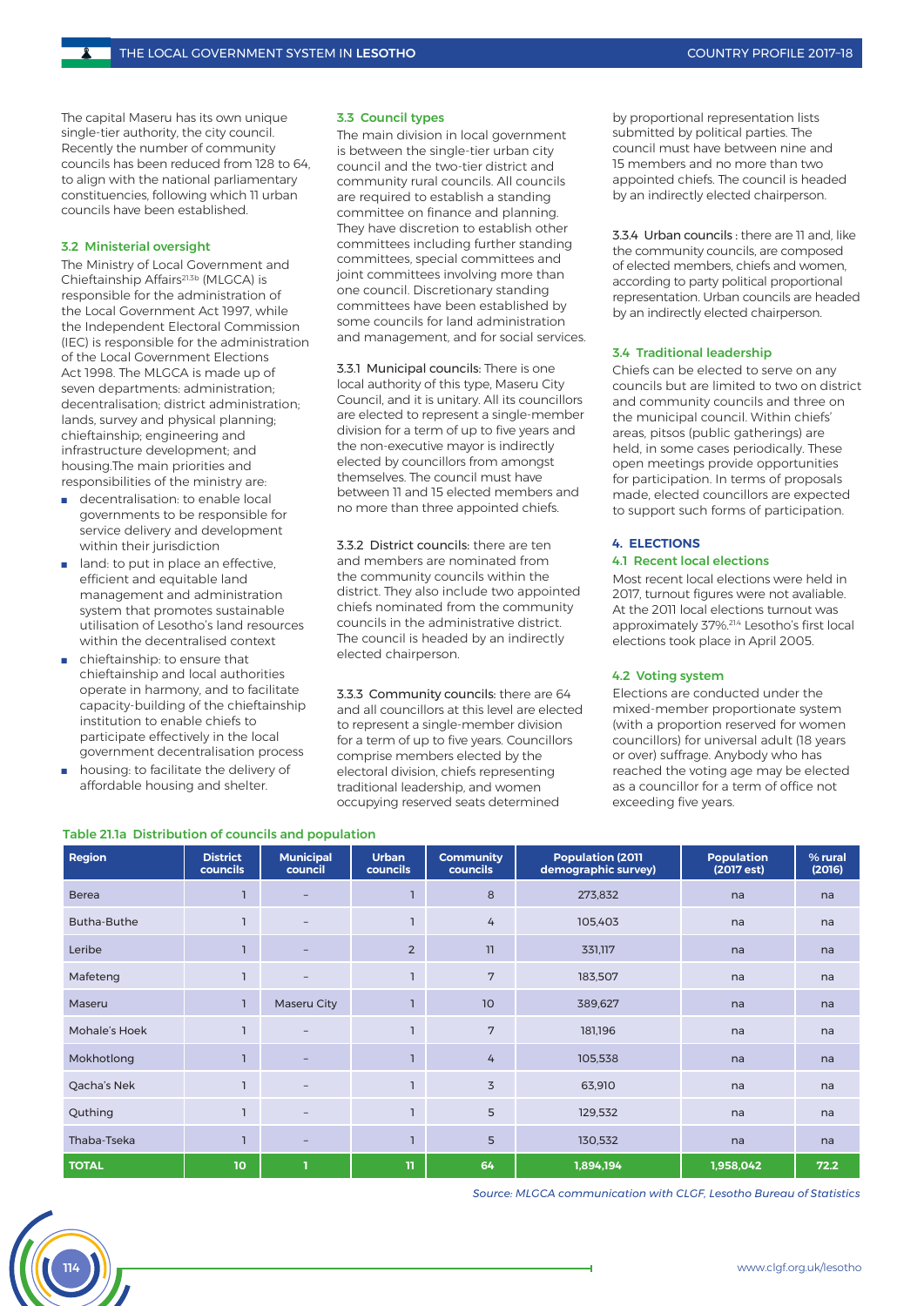The capital Maseru has its own unique single-tier authority, the city council. Recently the number of community councils has been reduced from 128 to 64, to align with the national parliamentary constituencies, following which 11 urban councils have been established.

## 3.2 Ministerial oversight

The Ministry of Local Government and Chieftainship Affairs21.3b (MLGCA) is responsible for the administration of the Local Government Act 1997, while the Independent Electoral Commission (IEC) is responsible for the administration of the Local Government Elections Act 1998. The MLGCA is made up of seven departments: administration; decentralisation; district administration; lands, survey and physical planning; chieftainship; engineering and infrastructure development; and housing.The main priorities and responsibilities of the ministry are:

- decentralisation: to enable local governments to be responsible for service delivery and development within their jurisdiction
- land: to put in place an effective, efficient and equitable land management and administration system that promotes sustainable utilisation of Lesotho's land resources within the decentralised context
- chieftainship: to ensure that chieftainship and local authorities operate in harmony, and to facilitate capacity-building of the chieftainship institution to enable chiefs to participate effectively in the local government decentralisation process
- housing: to facilitate the delivery of affordable housing and shelter.

# 3.3 Council types

The main division in local government is between the single-tier urban city council and the two-tier district and community rural councils. All councils are required to establish a standing committee on finance and planning. They have discretion to establish other committees including further standing committees, special committees and joint committees involving more than one council. Discretionary standing committees have been established by some councils for land administration and management, and for social services.

3.3.1 Municipal councils: There is one local authority of this type, Maseru City Council, and it is unitary. All its councillors are elected to represent a single-member division for a term of up to five years and the non-executive mayor is indirectly elected by councillors from amongst themselves. The council must have between 11 and 15 elected members and no more than three appointed chiefs.

3.3.2 District councils: there are ten and members are nominated from the community councils within the district. They also include two appointed chiefs nominated from the community councils in the administrative district. The council is headed by an indirectly elected chairperson.

3.3.3 Community councils: there are 64 and all councillors at this level are elected to represent a single-member division for a term of up to five years. Councillors comprise members elected by the electoral division, chiefs representing traditional leadership, and women occupying reserved seats determined

by proportional representation lists submitted by political parties. The council must have between nine and 15 members and no more than two appointed chiefs. The council is headed by an indirectly elected chairperson.

3.3.4 Urban councils : there are 11 and, like the community councils, are composed of elected members, chiefs and women, according to party political proportional representation. Urban councils are headed by an indirectly elected chairperson.

#### 3.4 Traditional leadership

Chiefs can be elected to serve on any councils but are limited to two on district and community councils and three on the municipal council. Within chiefs' areas, pitsos (public gatherings) are held, in some cases periodically. These open meetings provide opportunities for participation. In terms of proposals made, elected councillors are expected to support such forms of participation.

#### **4. ELECTIONS**

# 4.1 Recent local elections

Most recent local elections were held in 2017, turnout figures were not avaliable. At the 2011 local elections turnout was approximately 37%.21.4 Lesotho's first local elections took place in April 2005.

# 4.2 Voting system

Elections are conducted under the mixed-member proportionate system (with a proportion reserved for women councillors) for universal adult (18 years or over) suffrage. Anybody who has reached the voting age may be elected as a councillor for a term of office not exceeding five years.

| Region        | <b>District</b><br>councils | <b>Municipal</b><br>council | <b>Urban</b><br>councils | <b>Community</b><br>councils | <b>Population (2011</b><br>demographic survey) | <b>Population</b><br>(2017 est) | % rural<br>(2016) |
|---------------|-----------------------------|-----------------------------|--------------------------|------------------------------|------------------------------------------------|---------------------------------|-------------------|
| <b>Berea</b>  |                             | $\overline{\phantom{0}}$    |                          | 8                            | 273,832                                        | na                              | na                |
| Butha-Buthe   |                             |                             |                          | 4<br>105,403                 |                                                | na                              | na                |
| Leribe        |                             | $\overline{\phantom{0}}$    | $\overline{2}$           | 11                           | 331,117                                        |                                 | na                |
| Mafeteng      |                             | $\overline{\phantom{m}}$    |                          | 7                            | 183,507                                        |                                 | na                |
| Maseru        | T                           | Maseru City                 |                          | 10                           | 389,627                                        | na                              | na                |
| Mohale's Hoek |                             | $\qquad \qquad -$           |                          | 7<br>181,196                 |                                                | na                              | na                |
| Mokhotlong    |                             | ۰                           |                          | 4                            | 105,538                                        | na                              | na                |
| Qacha's Nek   | $\mathbf{I}$                | $\qquad \qquad -$           |                          | 3<br>63,910                  |                                                | na                              | na                |
| Quthing       | ı                           | $-$                         |                          | 5<br>129,532                 |                                                | na                              | na                |
| Thaba-Tseka   | $\mathbf{I}$                | $\qquad \qquad -$           |                          | 5<br>130,532                 |                                                | na                              | na                |
| <b>TOTAL</b>  | 10                          | п                           | 11                       | 64                           | 1,894,194                                      | 1,958,042                       | 72.2              |

Table 21.1a Distribution of councils and population

*Source: MLGCA communication with CLGF, Lesotho Bureau of Statistics*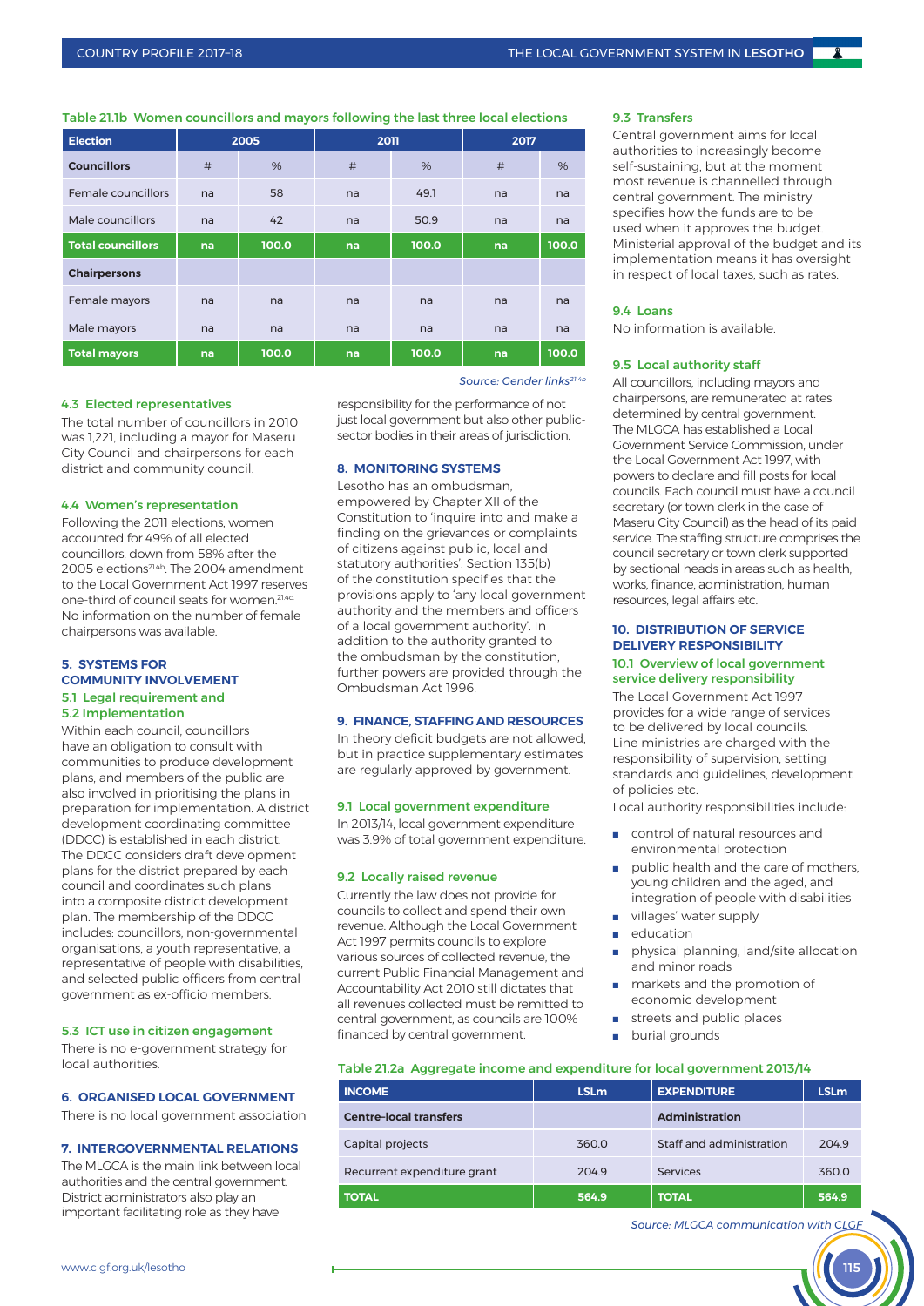Table 21.1b Women councillors and mayors following the last three local elections

| <b>Election</b>          | 2005 |       | 2011       |       | 2017 |       |
|--------------------------|------|-------|------------|-------|------|-------|
| <b>Councillors</b>       | #    | %     | #          | %     | #    | %     |
| Female councillors       | na   | 58    | 49.1<br>na |       | na   | na    |
| Male councillors         | na   | 42    | na         | 50.9  | na   | na    |
| <b>Total councillors</b> | na   | 100.0 | na         | 100.0 | na   | 100.0 |
| <b>Chairpersons</b>      |      |       |            |       |      |       |
| Female mayors<br>na      |      | na    | na         | na    | na   | na    |
| Male mayors              | na   | na    | na         | na    | na   | na    |
| <b>Total mayors</b>      | na   | 100.0 | na         | 100.0 | na   | 100.0 |

#### 4.3 Elected representatives

The total number of councillors in 2010 was 1,221, including a mayor for Maseru City Council and chairpersons for each district and community council.

## 4.4 Women's representation

Following the 2011 elections, women accounted for 49% of all elected councillors, down from 58% after the 2005 elections21.4b. The 2004 amendment to the Local Government Act 1997 reserves one-third of council seats for women.<sup>21.4c.</sup> No information on the number of female chairpersons was available.

# **5. SYSTEMS FOR COMMUNITY INVOLVEMENT** 5.1 Legal requirement and 5.2 Implementation

Within each council, councillors have an obligation to consult with communities to produce development plans, and members of the public are also involved in prioritising the plans in preparation for implementation. A district development coordinating committee (DDCC) is established in each district. The DDCC considers draft development plans for the district prepared by each council and coordinates such plans into a composite district development plan. The membership of the DDCC includes: councillors, non-governmental organisations, a youth representative, a representative of people with disabilities, and selected public officers from central government as ex-officio members.

#### 5.3 ICT use in citizen engagement

There is no e-government strategy for local authorities.

# **6. ORGANISED LOCAL GOVERNMENT**

There is no local government association

# **7.** INTEDCOVERNMENTAL RELATIONS

The MLGCA is the main link between local authorities and the central government. District administrators also play an important facilitating role as they have

*Source: Gender links21.4b*

responsibility for the performance of not just local government but also other publicsector bodies in their areas of jurisdiction.

# **8. MONITORING SYSTEMS**

Lesotho has an ombudsman, empowered by Chapter XII of the Constitution to 'inquire into and make a finding on the grievances or complaints of citizens against public, local and statutory authorities'. Section 135(b) of the constitution specifies that the provisions apply to 'any local government authority and the members and officers of a local government authority'. In addition to the authority granted to the ombudsman by the constitution, further powers are provided through the Ombudsman Act 1996.

# **9. FINANCE, STAFFING AND RESOURCES**

In theory deficit budgets are not allowed, but in practice supplementary estimates are regularly approved by government.

# 9.1 Local government expenditure

In 2013/14, local government expenditure was 3.9% of total government expenditure.

#### 9.2 Locally raised revenue

Currently the law does not provide for councils to collect and spend their own revenue. Although the Local Government Act 1997 permits councils to explore various sources of collected revenue, the current Public Financial Management and Accountability Act 2010 still dictates that all revenues collected must be remitted to central government, as councils are 100% financed by central government.

## 9.3 Transfers

Central government aims for local authorities to increasingly become self-sustaining, but at the moment most revenue is channelled through central government. The ministry specifies how the funds are to be used when it approves the budget. Ministerial approval of the budget and its implementation means it has oversight in respect of local taxes, such as rates.

#### 9.4 Loans

No information is available.

# 9.5 Local authority staff

All councillors, including mayors and chairpersons, are remunerated at rates determined by central government. The MLGCA has established a Local Government Service Commission, under the Local Government Act 1997, with powers to declare and fill posts for local councils. Each council must have a council secretary (or town clerk in the case of Maseru City Council) as the head of its paid service. The staffing structure comprises the council secretary or town clerk supported by sectional heads in areas such as health, works, finance, administration, human resources, legal affairs etc.

# **10. DISTRIBUTION OF SERVICE DELIVERY RESPONSIBILITY** 10.1 Overview of local government service delivery responsibility

The Local Government Act 1997 provides for a wide range of services to be delivered by local councils. Line ministries are charged with the responsibility of supervision, setting standards and guidelines, development of policies etc.

Local authority responsibilities include:

- control of natural resources and environmental protection
- public health and the care of mothers. young children and the aged, and integration of people with disabilities
- villages' water supply
- education
- physical planning, land/site allocation and minor roads
- markets and the promotion of economic development
- streets and public places
- burial grounds

#### Table 21.2a Aggregate income and expenditure for local government 2013/14

| <b>INCOME</b>                 | <b>LSLm</b> | <b>EXPENDITURE</b>       |       |
|-------------------------------|-------------|--------------------------|-------|
| <b>Centre-local transfers</b> |             | <b>Administration</b>    |       |
| Capital projects              | 360.0       | Staff and administration |       |
| Recurrent expenditure grant   | 204.9       | Services                 | 360.0 |
| <b>TOTAL</b>                  | 564.9       | <b>TOTAL</b>             | 564.9 |

*Source: MLGCA communication with CLGF*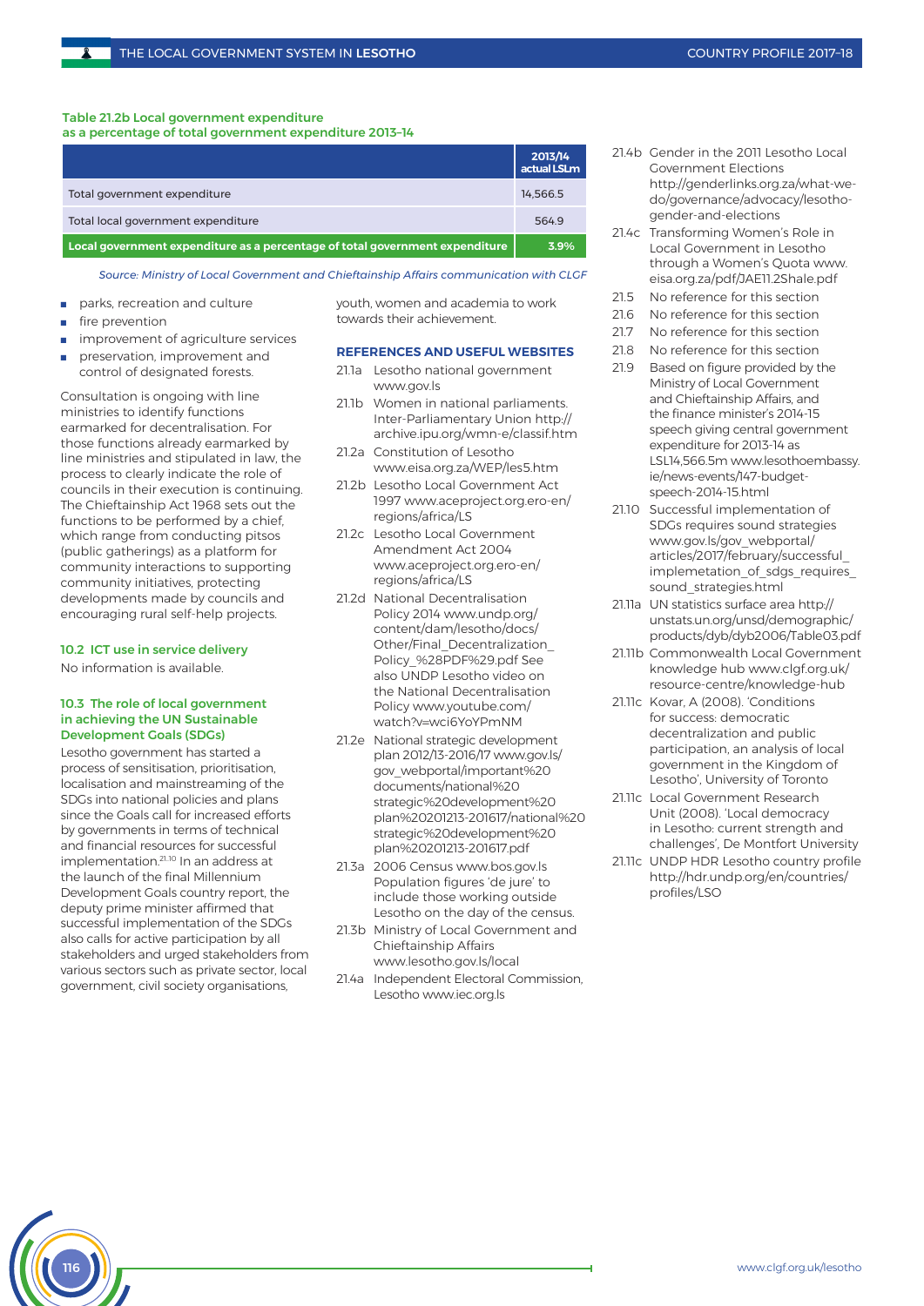#### Table 21.2b Local government expenditure as a percentage of total government expenditure 2013–14

|                                                                              | 2013/14<br>actual LSLm |
|------------------------------------------------------------------------------|------------------------|
| Total government expenditure                                                 | 14.566.5               |
| Total local government expenditure                                           | 564.9                  |
| Local government expenditure as a percentage of total government expenditure | 3.9%                   |

*Source: Ministry of Local Government and Chieftainship Affairs communication with CLGF*

- parks, recreation and culture
- fire prevention
- improvement of agriculture services
- preservation, improvement and control of designated forests.

Consultation is ongoing with line ministries to identify functions earmarked for decentralisation. For those functions already earmarked by line ministries and stipulated in law, the process to clearly indicate the role of councils in their execution is continuing. The Chieftainship Act 1968 sets out the functions to be performed by a chief, which range from conducting pitsos (public gatherings) as a platform for community interactions to supporting community initiatives, protecting developments made by councils and encouraging rural self-help projects.

# 10.2 ICT use in service delivery

No information is available.

# 10.3 The role of local government in achieving the UN Sustainable Development Goals (SDGs)

Lesotho government has started a process of sensitisation, prioritisation, localisation and mainstreaming of the SDGs into national policies and plans since the Goals call for increased efforts by governments in terms of technical and financial resources for successful implementation.<sup>21.10</sup> In an address at the launch of the final Millennium Development Goals country report, the deputy prime minister affirmed that successful implementation of the SDGs also calls for active participation by all stakeholders and urged stakeholders from various sectors such as private sector, local government, civil society organisations,

youth, women and academia to work towards their achievement.

# **REFERENCES AND USEFUL WEBSITES**

- 21.1a Lesotho national government www.gov.ls
- 21.1b Women in national parliaments. Inter-Parliamentary Union http:// archive.ipu.org/wmn-e/classif.htm
- 21.2a Constitution of Lesotho www.eisa.org.za/WEP/les5.htm
- 21.2b Lesotho Local Government Act 1997 www.aceproject.org.ero-en/ regions/africa/LS
- 21.2c Lesotho Local Government Amendment Act 2004 www.aceproject.org.ero-en/ regions/africa/LS
- 21.2d National Decentralisation Policy 2014 www.undp.org/ content/dam/lesotho/docs/ Other/Final\_Decentralization\_ Policy\_%28PDF%29.pdf See also UNDP Lesotho video on the National Decentralisation Policy www.youtube.com/ watch?v=wci6YoYPmNM
- 21.2e National strategic development plan 2012/13-2016/17 www.gov.ls/ gov\_webportal/important%20 documents/national%20 strategic%20development%20 plan%20201213-201617/national%20 strategic%20development%20 plan%20201213-201617.pdf
- 21.3a 2006 Census www.bos.gov.ls Population figures 'de jure' to include those working outside Lesotho on the day of the census.
- 21.3b Ministry of Local Government and Chieftainship Affairs www.lesotho.gov.ls/local
- 21.4a Independent Electoral Commission, Lesotho www.iec.org.ls
- 21.4b Gender in the 2011 Lesotho Local Government Elections http://genderlinks.org.za/what-wedo/governance/advocacy/lesothogender-and-elections
- 21.4c Transforming Women's Role in Local Government in Lesotho through a Women's Quota www. eisa.org.za/pdf/JAE11.2Shale.pdf
- 21.5 No reference for this section
- 21.6 No reference for this section
- 21.7 No reference for this section
- 21.8 No reference for this section
- 21.9 Based on figure provided by the Ministry of Local Government and Chieftainship Affairs, and the finance minister's 2014-15 speech giving central government expenditure for 2013-14 as LSL14,566.5m www.lesothoembassy. ie/news-events/147-budgetspeech-2014-15.html
- 21.10 Successful implementation of SDGs requires sound strategies www.gov.ls/gov\_webportal/ articles/2017/february/successful\_ implemetation of sdgs requires sound\_strategies.html
- 21.11a UN statistics surface area http:// unstats.un.org/unsd/demographic/ products/dyb/dyb2006/Table03.pdf
- 21.11b Commonwealth Local Government knowledge hub www.clgf.org.uk/ resource-centre/knowledge-hub
- 21.11c Kovar, A (2008). 'Conditions for success: democratic decentralization and public participation, an analysis of local government in the Kingdom of Lesotho', University of Toronto
- 21.11c Local Government Research Unit (2008). 'Local democracy in Lesotho: current strength and challenges', De Montfort University
- 21.11c UNDP HDR Lesotho country profile http://hdr.undp.org/en/countries/ profiles/LSO